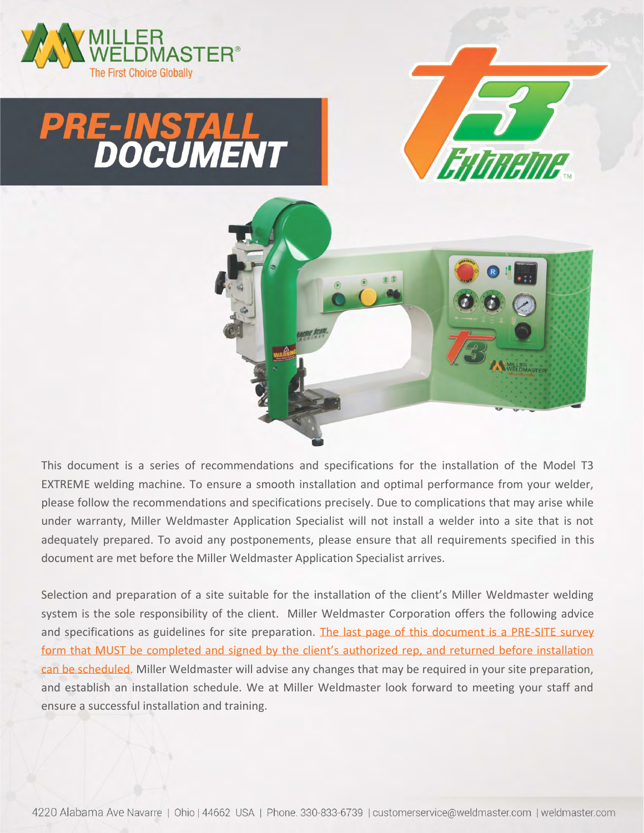

# **PRE-INSTALL<br>DOCUMENT**





This document is a series of recommendations and specifications for the installation of the Model T3 EXTREME welding machine. To ensure a smooth installation and optimal performance from your welder, please follow the recommendations and specifications precisely. Due to complications that may arise while under warranty, Miller Weldmaster Application Specialist will not install a welder into a site that is not adequately prepared. To avoid any postponements, please ensure that all requirements specified in this document are met before the Miller Weldmaster Application Specialist arrives.

Selection and preparation of a site suitable for the installation of the client's Miller Weldmaster welding system is the sole responsibility of the client. Miller Weldmaster Corporation offers the following advice and specifications as guidelines for site preparation. The last page of this document is a PRE-SITE survey form that MUST be completed and signed by the client's authorized rep, and returned before installation can be scheduled. Miller Weldmaster will advise any changes that may be required in your site preparation, and establish an installation schedule. We at Miller Weldmaster look forward to meeting your staff and ensure a successful installation and training.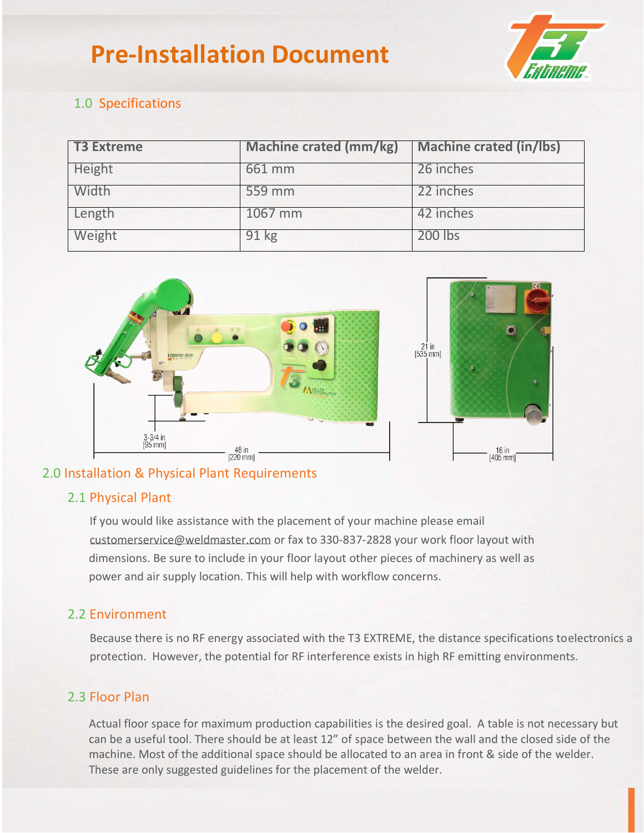## **Pre-Installation Document**



#### 1.0 Specifications

| <b>T3 Extreme</b> | <b>Machine crated (mm/kg)</b> | <b>Machine crated (in/lbs)</b> |
|-------------------|-------------------------------|--------------------------------|
| Height            | 661 mm                        | 26 inches                      |
| Width             | 559 mm                        | 22 inches                      |
| Length            | 1067 mm                       | 42 inches                      |
| Weight            | 91 kg                         | 200 lbs                        |



#### 2.0 Installation & Physical Plant Requirements

#### 2.1 Physical Plant

If you would like assistance with the placement of your machine please email customerservice@weldmaster.com or fax to 330-837-2828 your work floor layout with dimensions. Be sure to include in your floor layout other pieces of machinery as well as power and air supply location. This will help with workflow concerns.

#### 2.2 Environment

Because there is no RF energy associated with the T3 EXTREME, the distance specifications toelectronics a protection. However, the potential for RF interference exists in high RF emitting environments.

#### 2.3 Floor Plan

 Actual floor space for maximum production capabilities is the desired goal. A table is not necessary but can be a useful tool. There should be at least 12" of space between the wall and the closed side of the machine. Most of the additional space should be allocated to an area in front & side of the welder. These are only suggested guidelines for the placement of the welder.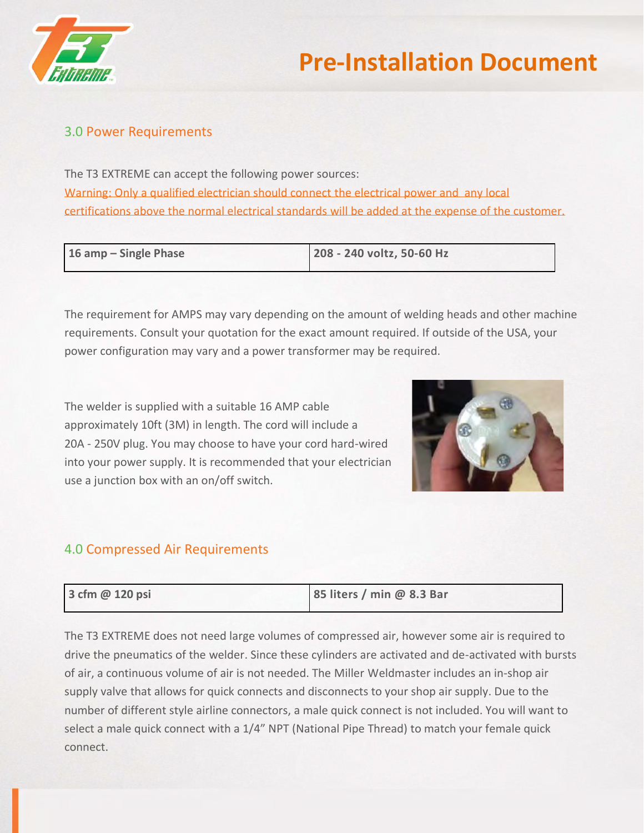

#### 3.0 Power Requirements

The T3 EXTREME can accept the following power sources: Warning: Only a qualified electrician should connect the electrical power and any local certifications above the normal electrical standards will be added at the expense of the customer.

| 16 amp – Single Phase | 208 - 240 voltz, 50-60 Hz |
|-----------------------|---------------------------|
|                       |                           |

The requirement for AMPS may vary depending on the amount of welding heads and other machine requirements. Consult your quotation for the exact amount required. If outside of the USA, your power configuration may vary and a power transformer may be required.

The welder is supplied with a suitable 16 AMP cable approximately 10ft (3M) in length. The cord will include a 20A - 250V plug. You may choose to have your cord hard-wired into your power supply. It is recommended that your electrician use a junction box with an on/off switch.



### **isolated from other equipments** and not susceptible to and not susceptible to the power susceptible to and not susceptible to and not susceptible to and not susceptible to and not susceptible to and not susceptible to and

| 3 cfm @ 120 psi | 85 liters / min @ 8.3 Bar |  |
|-----------------|---------------------------|--|
|-----------------|---------------------------|--|

The T3 EXTREME does not need large volumes of compressed air, however some air is required to drive the pneumatics of the welder. Since these cylinders are activated and de-activated with bursts of air, a continuous volume of air is not needed. The Miller Weldmaster includes an in-shop air supply valve that allows for quick connects and disconnects to your shop air supply. Due to the number of different style airline connectors, a male quick connect is not included. You will want to select a male quick connect with a 1/4" NPT (National Pipe Thread) to match your female quick connect.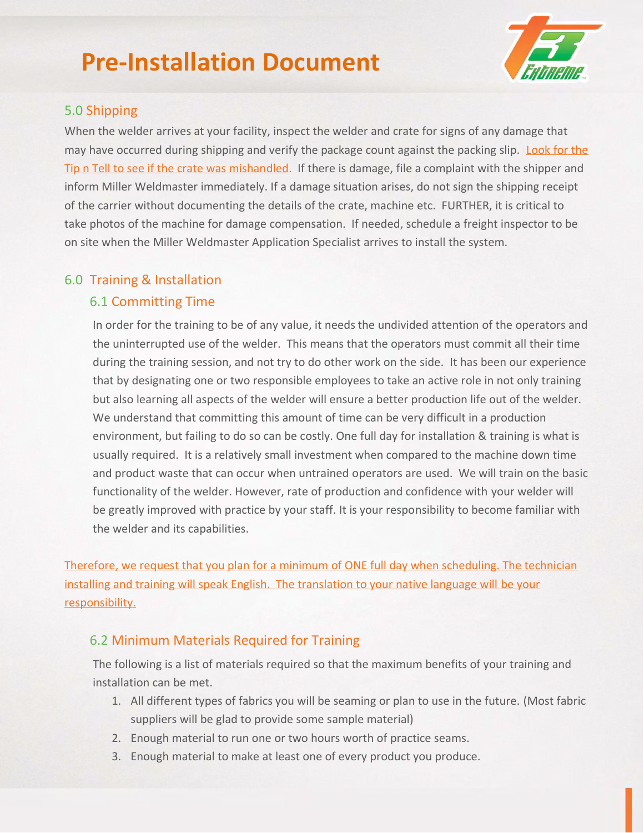## **Pre-Installation Document**



#### 5.0 Shipping

When the welder arrives at your facility, inspect the welder and crate for signs of any damage that may have occurred during shipping and verify the package count against the packing slip. Look for the Tip n Tell to see if the crate was mishandled. If there is damage, file a complaint with the shipper and inform Miller Weldmaster immediately. If a damage situation arises, do not sign the shipping receipt of the carrier without documenting the details of the crate, machine etc. FURTHER, it is critical to take photos of the machine for damage compensation. If needed, schedule a freight inspector to be on site when the Miller Weldmaster Application Specialist arrives to install the system.

#### 6.0 Training & Installation

#### 6.1 Committing Time

In order for the training to be of any value, it needs the undivided attention of the operators and the uninterrupted use of the welder. This means that the operators must commit all their time during the training session, and not try to do other work on the side. It has been our experience that by designating one or two responsible employees to take an active role in not only training but also learning all aspects of the welder will ensure a better production life out of the welder. We understand that committing this amount of time can be very difficult in a production environment, but failing to do so can be costly. One full day for installation & training is what is usually required. It is a relatively small investment when compared to the machine down time and product waste that can occur when untrained operators are used. We will train on the basic functionality of the welder. However, rate of production and confidence with your welder will be greatly improved with practice by your staff. It is your responsibility to become familiar with the welder and its capabilities.

Therefore, we request that you plan for a minimum of ONE full day when scheduling. The technician installing and training will speak English. The translation to your native language will be your responsibility.

#### 6.2 Minimum Materials Required for Training

The following is a list of materials required so that the maximum benefits of your training and installation can be met.

- 1. All different types of fabrics you will be seaming or plan to use in the future. (Most fabric suppliers will be glad to provide some sample material)
- 2. Enough material to run one or two hours worth of practice seams.
- 3. Enough material to make at least one of every product you produce.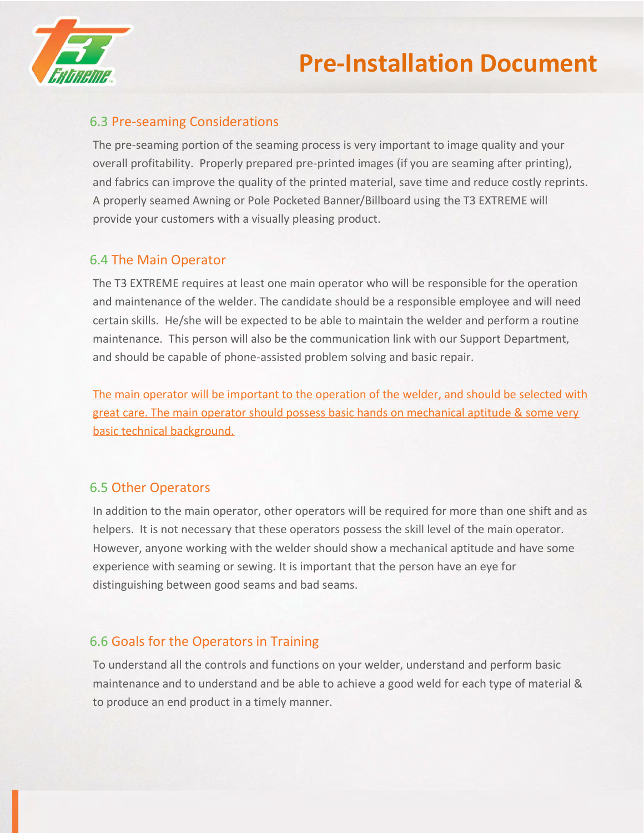

#### 6.3 Pre-seaming Considerations

The pre-seaming portion of the seaming process is very important to image quality and your overall profitability. Properly prepared pre-printed images (if you are seaming after printing), and fabrics can improve the quality of the printed material, save time and reduce costly reprints. A properly seamed Awning or Pole Pocketed Banner/Billboard using the T3 EXTREME will provide your customers with a visually pleasing product.

#### 6.4 The Main Operator

The T3 EXTREME requires at least one main operator who will be responsible for the operation and maintenance of the welder. The candidate should be a responsible employee and will need certain skills. He/she will be expected to be able to maintain the welder and perform a routine maintenance. This person will also be the communication link with our Support Department, and should be capable of phone-assisted problem solving and basic repair.

The main operator will be important to the operation of the welder, and should be selected with great care. The main operator should possess basic hands on mechanical aptitude & some very basic technical background.

#### 6.5 Other Operators

In addition to the main operator, other operators will be required for more than one shift and as helpers. It is not necessary that these operators possess the skill level of the main operator. However, anyone working with the welder should show a mechanical aptitude and have some experience with seaming or sewing. It is important that the person have an eye for distinguishing between good seams and bad seams.

#### 6.6 Goals for the Operators in Training

To understand all the controls and functions on your welder, understand and perform basic maintenance and to understand and be able to achieve a good weld for each type of material & to produce an end product in a timely manner.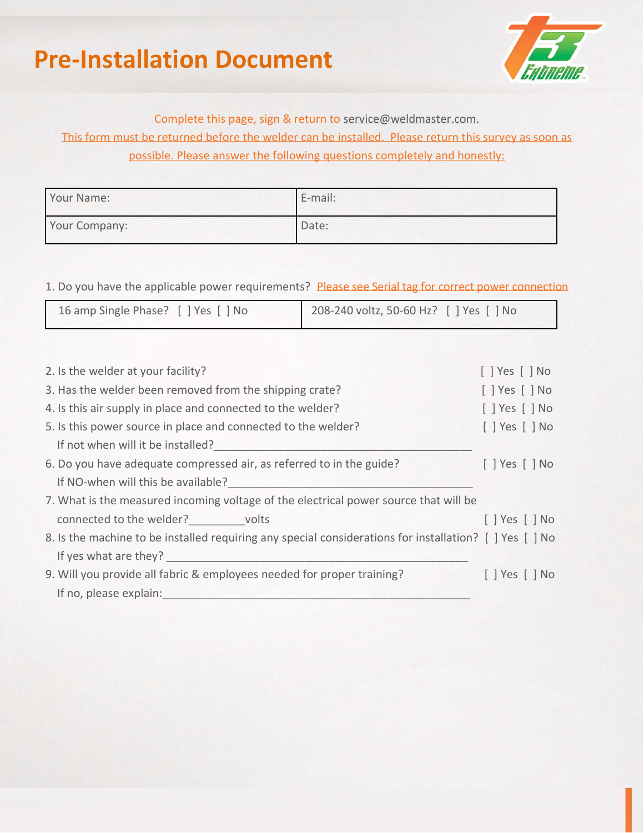## **Pre-Installation Document**



#### Complete this page, sign & return to service@weldmaster.com.

This form must be returned before the welder can be installed. Please return this survey as soon as possible. Please answer the following questions completely and honestly:

| Your Name:    | E-mail: |
|---------------|---------|
| Your Company: | Date:   |

1. Do you have the applicable power requirements? Please see Serial tag for correct power connection

| 16 amp Single Phase? [ ] Yes [ ] No | 208-240 voltz, 50-60 Hz? [ ] Yes [ ] No |
|-------------------------------------|-----------------------------------------|
|                                     |                                         |

| 2. Is the welder at your facility?                                                                      | $[$   Yes $[$   No           |
|---------------------------------------------------------------------------------------------------------|------------------------------|
| 3. Has the welder been removed from the shipping crate?                                                 | $[$   Yes $[$   No           |
| 4. Is this air supply in place and connected to the welder?                                             | $[$   Yes $[$   No           |
| 5. Is this power source in place and connected to the welder?                                           | $[$ $]$ Yes $[$ $]$ No       |
| If not when will it be installed?                                                                       |                              |
| 6. Do you have adequate compressed air, as referred to in the guide?                                    | $\lceil$   Yes $\lceil$   No |
| If NO-when will this be available?                                                                      |                              |
| 7. What is the measured incoming voltage of the electrical power source that will be                    |                              |
| connected to the welder? volts                                                                          | [   Yes     No               |
| 8. Is the machine to be installed requiring any special considerations for installation? [ ] Yes [ ] No |                              |
| If yes what are they?                                                                                   |                              |
| 9. Will you provide all fabric & employees needed for proper training?                                  | $[$   Yes $[$   No           |
| If no, please explain:                                                                                  |                              |